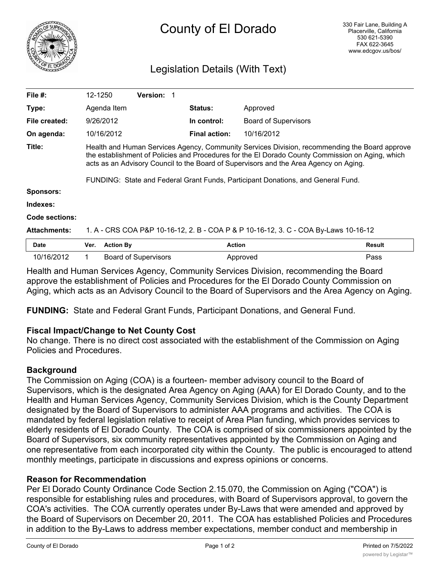

# Legislation Details (With Text)

| File $#$ :          | 12-1250                                                                                                                                                                                                                                                                                    |                  | <b>Version: 1</b>           |                      |                             |               |
|---------------------|--------------------------------------------------------------------------------------------------------------------------------------------------------------------------------------------------------------------------------------------------------------------------------------------|------------------|-----------------------------|----------------------|-----------------------------|---------------|
| Type:               |                                                                                                                                                                                                                                                                                            | Agenda Item      |                             | <b>Status:</b>       | Approved                    |               |
| File created:       |                                                                                                                                                                                                                                                                                            | 9/26/2012        |                             | In control:          | <b>Board of Supervisors</b> |               |
| On agenda:          |                                                                                                                                                                                                                                                                                            | 10/16/2012       |                             | <b>Final action:</b> | 10/16/2012                  |               |
| Title:              | Health and Human Services Agency, Community Services Division, recommending the Board approve<br>the establishment of Policies and Procedures for the El Dorado County Commission on Aging, which<br>acts as an Advisory Council to the Board of Supervisors and the Area Agency on Aging. |                  |                             |                      |                             |               |
|                     | FUNDING: State and Federal Grant Funds, Participant Donations, and General Fund.                                                                                                                                                                                                           |                  |                             |                      |                             |               |
| <b>Sponsors:</b>    |                                                                                                                                                                                                                                                                                            |                  |                             |                      |                             |               |
| Indexes:            |                                                                                                                                                                                                                                                                                            |                  |                             |                      |                             |               |
| Code sections:      |                                                                                                                                                                                                                                                                                            |                  |                             |                      |                             |               |
| <b>Attachments:</b> | 1. A - CRS COA P&P 10-16-12, 2. B - COA P & P 10-16-12, 3. C - COA By-Laws 10-16-12                                                                                                                                                                                                        |                  |                             |                      |                             |               |
| <b>Date</b>         | Ver.                                                                                                                                                                                                                                                                                       | <b>Action By</b> |                             |                      | <b>Action</b>               | <b>Result</b> |
| 10/16/2012          |                                                                                                                                                                                                                                                                                            |                  | <b>Board of Supervisors</b> |                      | Approved                    | Pass          |

Health and Human Services Agency, Community Services Division, recommending the Board approve the establishment of Policies and Procedures for the El Dorado County Commission on Aging, which acts as an Advisory Council to the Board of Supervisors and the Area Agency on Aging.

**FUNDING:** State and Federal Grant Funds, Participant Donations, and General Fund.

# **Fiscal Impact/Change to Net County Cost**

No change. There is no direct cost associated with the establishment of the Commission on Aging Policies and Procedures.

# **Background**

The Commission on Aging (COA) is a fourteen- member advisory council to the Board of Supervisors, which is the designated Area Agency on Aging (AAA) for El Dorado County, and to the Health and Human Services Agency, Community Services Division, which is the County Department designated by the Board of Supervisors to administer AAA programs and activities. The COA is mandated by federal legislation relative to receipt of Area Plan funding, which provides services to elderly residents of El Dorado County. The COA is comprised of six commissioners appointed by the Board of Supervisors, six community representatives appointed by the Commission on Aging and one representative from each incorporated city within the County. The public is encouraged to attend monthly meetings, participate in discussions and express opinions or concerns.

# **Reason for Recommendation**

Per El Dorado County Ordinance Code Section 2.15.070, the Commission on Aging ("COA") is responsible for establishing rules and procedures, with Board of Supervisors approval, to govern the COA's activities. The COA currently operates under By-Laws that were amended and approved by the Board of Supervisors on December 20, 2011. The COA has established Policies and Procedures in addition to the By-Laws to address member expectations, member conduct and membership in